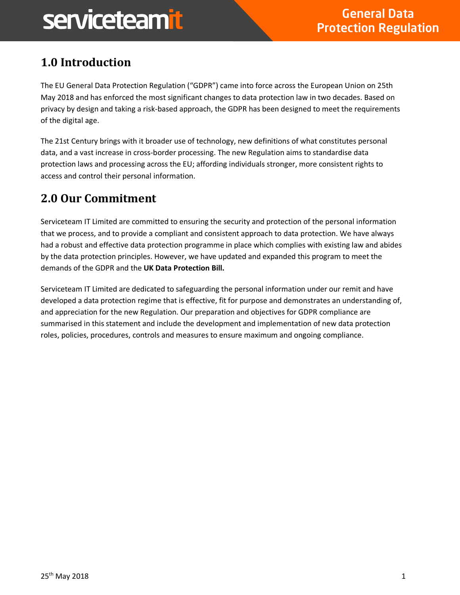### **1.0 Introduction**

The EU General Data Protection Regulation ("GDPR") came into force across the European Union on 25th May 2018 and has enforced the most significant changes to data protection law in two decades. Based on privacy by design and taking a risk-based approach, the GDPR has been designed to meet the requirements of the digital age.

The 21st Century brings with it broader use of technology, new definitions of what constitutes personal data, and a vast increase in cross-border processing. The new Regulation aims to standardise data protection laws and processing across the EU; affording individuals stronger, more consistent rights to access and control their personal information.

#### **2.0 Our Commitment**

Serviceteam IT Limited are committed to ensuring the security and protection of the personal information that we process, and to provide a compliant and consistent approach to data protection. We have always had a robust and effective data protection programme in place which complies with existing law and abides by the data protection principles. However, we have updated and expanded this program to meet the demands of the GDPR and the **UK Data Protection Bill.**

Serviceteam IT Limited are dedicated to safeguarding the personal information under our remit and have developed a data protection regime that is effective, fit for purpose and demonstrates an understanding of, and appreciation for the new Regulation. Our preparation and objectives for GDPR compliance are summarised in this statement and include the development and implementation of new data protection roles, policies, procedures, controls and measures to ensure maximum and ongoing compliance.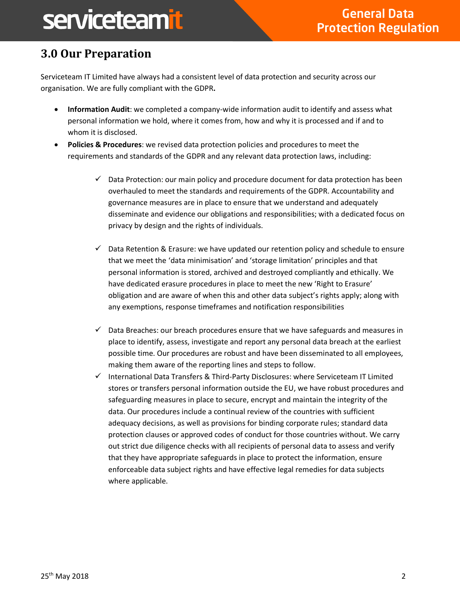### **3.0 Our Preparation**

Serviceteam IT Limited have always had a consistent level of data protection and security across our organisation. We are fully compliant with the GDPR**.**

- **Information Audit**: we completed a company-wide information audit to identify and assess what personal information we hold, where it comes from, how and why it is processed and if and to whom it is disclosed.
- **Policies & Procedures**: we revised data protection policies and procedures to meet the requirements and standards of the GDPR and any relevant data protection laws, including:
	- $\checkmark$  Data Protection: our main policy and procedure document for data protection has been overhauled to meet the standards and requirements of the GDPR. Accountability and governance measures are in place to ensure that we understand and adequately disseminate and evidence our obligations and responsibilities; with a dedicated focus on privacy by design and the rights of individuals.
	- $\checkmark$  Data Retention & Erasure: we have updated our retention policy and schedule to ensure that we meet the 'data minimisation' and 'storage limitation' principles and that personal information is stored, archived and destroyed compliantly and ethically. We have dedicated erasure procedures in place to meet the new 'Right to Erasure' obligation and are aware of when this and other data subject's rights apply; along with any exemptions, response timeframes and notification responsibilities
	- $\checkmark$  Data Breaches: our breach procedures ensure that we have safeguards and measures in place to identify, assess, investigate and report any personal data breach at the earliest possible time. Our procedures are robust and have been disseminated to all employees, making them aware of the reporting lines and steps to follow.
	- $\checkmark$  International Data Transfers & Third-Party Disclosures: where Serviceteam IT Limited stores or transfers personal information outside the EU, we have robust procedures and safeguarding measures in place to secure, encrypt and maintain the integrity of the data. Our procedures include a continual review of the countries with sufficient adequacy decisions, as well as provisions for binding corporate rules; standard data protection clauses or approved codes of conduct for those countries without. We carry out strict due diligence checks with all recipients of personal data to assess and verify that they have appropriate safeguards in place to protect the information, ensure enforceable data subject rights and have effective legal remedies for data subjects where applicable.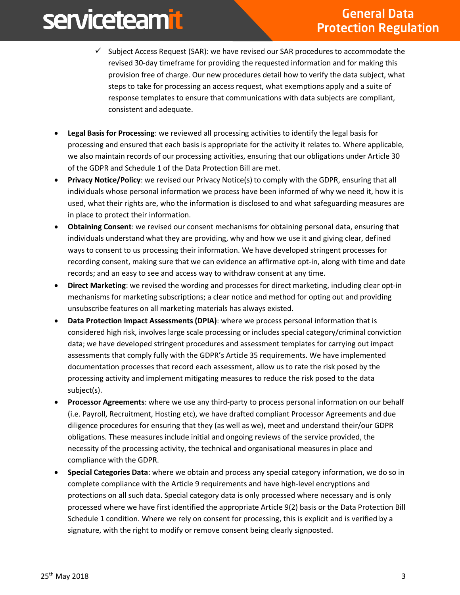- $\checkmark$  Subject Access Request (SAR): we have revised our SAR procedures to accommodate the revised 30-day timeframe for providing the requested information and for making this provision free of charge. Our new procedures detail how to verify the data subject, what steps to take for processing an access request, what exemptions apply and a suite of response templates to ensure that communications with data subjects are compliant, consistent and adequate.
- **Legal Basis for Processing**: we reviewed all processing activities to identify the legal basis for processing and ensured that each basis is appropriate for the activity it relates to. Where applicable, we also maintain records of our processing activities, ensuring that our obligations under Article 30 of the GDPR and Schedule 1 of the Data Protection Bill are met.
- **Privacy Notice/Policy**: we revised our Privacy Notice(s) to comply with the GDPR, ensuring that all individuals whose personal information we process have been informed of why we need it, how it is used, what their rights are, who the information is disclosed to and what safeguarding measures are in place to protect their information.
- **Obtaining Consent**: we revised our consent mechanisms for obtaining personal data, ensuring that individuals understand what they are providing, why and how we use it and giving clear, defined ways to consent to us processing their information. We have developed stringent processes for recording consent, making sure that we can evidence an affirmative opt-in, along with time and date records; and an easy to see and access way to withdraw consent at any time.
- **Direct Marketing**: we revised the wording and processes for direct marketing, including clear opt-in mechanisms for marketing subscriptions; a clear notice and method for opting out and providing unsubscribe features on all marketing materials has always existed.
- **Data Protection Impact Assessments (DPIA)**: where we process personal information that is considered high risk, involves large scale processing or includes special category/criminal conviction data; we have developed stringent procedures and assessment templates for carrying out impact assessments that comply fully with the GDPR's Article 35 requirements. We have implemented documentation processes that record each assessment, allow us to rate the risk posed by the processing activity and implement mitigating measures to reduce the risk posed to the data subject(s).
- **Processor Agreements**: where we use any third-party to process personal information on our behalf (i.e. Payroll, Recruitment, Hosting etc), we have drafted compliant Processor Agreements and due diligence procedures for ensuring that they (as well as we), meet and understand their/our GDPR obligations. These measures include initial and ongoing reviews of the service provided, the necessity of the processing activity, the technical and organisational measures in place and compliance with the GDPR.
- **Special Categories Data**: where we obtain and process any special category information, we do so in complete compliance with the Article 9 requirements and have high-level encryptions and protections on all such data. Special category data is only processed where necessary and is only processed where we have first identified the appropriate Article 9(2) basis or the Data Protection Bill Schedule 1 condition. Where we rely on consent for processing, this is explicit and is verified by a signature, with the right to modify or remove consent being clearly signposted.